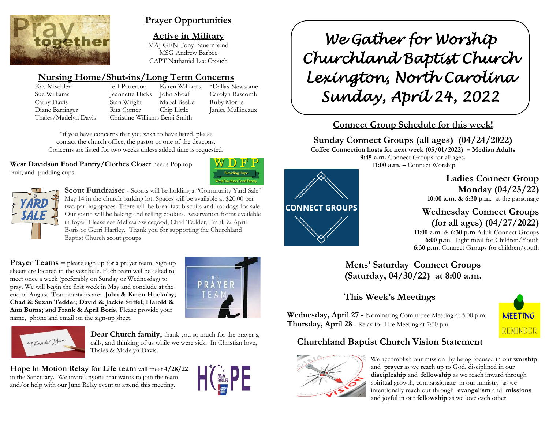

# **Prayer Opportunities**

**Active in Military**

MAJ GEN Tony Bauernfeind MSG Andrew Barbee CAPT Nathaniel Lee Crouch

# **Nursing Home/Shut-ins/Long Term Concerns**

| Kay Mischler         | Jeff Patterson                 | Karen Williams | *Dallas Newsome   |
|----------------------|--------------------------------|----------------|-------------------|
| Sue Williams         | Jeannette Hicks                | John Shoaf     | Carolyn Bascomb   |
| Cathy Davis          | Stan Wright                    | Mabel Beebe    | Ruby Morris       |
| Diane Barringer      | Rita Comer                     | Chip Little    | Janice Mullineaux |
| Thales/Madelyn Davis | Christine Williams Benji Smith |                |                   |
|                      |                                |                |                   |

\*if you have concerns that you wish to have listed, please contact the church office, the pastor or one of the deacons. Concerns are listed for two weeks unless added time is requested.

**West Davidson Food Pantry/Clothes Closet** needs Pop top fruit, and pudding cups.





**Scout Fundraiser** - Scouts will be holding a "Community Yard Sale" May 14 in the church parking lot. Spaces will be available at \$20.00 per two parking spaces. There will be breakfast biscuits and hot dogs for sale. Our youth will be baking and selling cookies. Reservation forms available in foyer. Please see Melissa Swicegood, Chad Tedder, Frank & April Boris or Gerri Hartley. Thank you for supporting the Churchland Baptist Church scout groups.

**Prayer Teams –** please sign up for a prayer team. Sign-up sheets are located in the vestibule. Each team will be asked to meet once a week (preferably on Sunday or Wednesday) to pray. We will begin the first week in May and conclude at the end of August. Team captains are: **John & Karen Huckaby; Chad & Suzan Tedder; David & Jackie Stiffel; Harold & Ann Burns; and Frank & April Boris.** Please provide your name, phone and email on the sign-up sheet.





**Dear Church family,** thank you so much for the prayer s, calls, and thinking of us while we were sick. In Christian love, Thales & Madelyn Davis.

**Hope in Motion Relay for Life team** will meet **4/28/22** in the Sanctuary. We invite anyone that wants to join the team and/or help with our June Relay event to attend this meeting.



*We Gather for Worship Churchland Baptist Church Lexington, North Carolina Sunday, April 24, 2022* 

# **Connect Group Schedule for this week!**

# **Sunday Connect Groups (all ages) (04/24/2022)**

**Coffee Connection hosts for next week (05/01/2022) – Median Adults 9:45 a.m.** Connect Groups for all ages**. 11:00 a.m. –** Connect Worship



**Ladies Connect Group Monday (04/25/22) 10:00 a.m. & 6:30 p.m.** at the parsonage

**Wednesday Connect Groups (for all ages) (04/27/2022) 11:00 a.m**. & **6:30 p.m** Adult Connect Groups

 **6:00 p.m**. Light meal for Children/Youth **6:30 p.m**. Connect Groups for children/youth

**Mens' Saturday Connect Groups (Saturday, 04/30/22) at 8:00 a.m.**

# **This Week's Meetings**

**Wednesday, April 27 -** Nominating Committee Meeting at 5:00 p.m. **Thursday, April 28 -** Relay for Life Meeting at 7:00 pm.



# **Churchland Baptist Church Vision Statement**



We accomplish our mission by being focused in our **worship** and **prayer** as we reach up to God, disciplined in our **discipleship** and **fellowship** as we reach inward through spiritual growth, compassionate in our ministry as we intentionally reach out through **evangelism** and **missions** and joyful in our **fellowship** as we love each other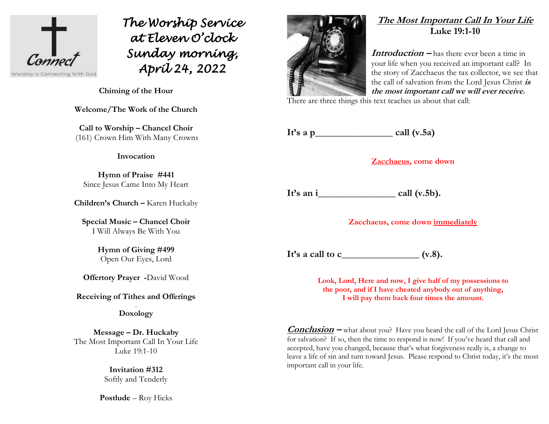

*The Worship Service at Eleven O'clock Sunday morning, April 24, 2022*

**Chiming of the Hour**

**Welcome/The Work of the Church**

**Call to Worship – Chancel Choir** (161) Crown Him With Many Crowns

#### **Invocation**

**Hymn of Praise #441** Since Jesus Came Into My Heart

**Children's Church –** Karen Huckaby

**Special Music – Chancel Choir** I Will Always Be With You

> **Hymn of Giving #499** Open Our Eyes, Lord

**Offertory Prayer -**David Wood

**Receiving of Tithes and Offerings** .

**Doxology**

**Message – Dr. Huckaby** The Most Important Call In Your Life Luke 19:1-10

> **Invitation #312**  Softly and Tenderly

**Postlude** – Roy Hicks



# **The Most Important Call In Your Life Luke 19:1-10**

**Introduction –** has there ever been a time in your life when you received an important call? In the story of Zacchaeus the tax collector, we see that the call of salvation from the Lord Jesus Christ **is the most important call we will ever receive.** 

There are three things this text teaches us about that call:

**It's a p\_\_\_\_\_\_\_\_\_\_\_\_\_\_\_\_ call (v.5a)**

**Zacchaeus, come down**

It's an i call  $(v.5b)$ .

**Zacchaeus, come down immediately**

**It's a call to c\_\_\_\_\_\_\_\_\_\_\_\_\_\_\_\_ (v.8).**

**Look, Lord, Here and now, I give half of my possessions to the poor, and if I have cheated anybody out of anything, I will pay them back four times the amount.**

**Conclusion** – what about you? Have you heard the call of the Lord Jesus Christ for salvation? If so, then the time to respond is now! If you've heard that call and accepted, have you changed, because that's what forgiveness really is, a change to leave a life of sin and turn toward Jesus. Please respond to Christ today, it's the most important call in your life.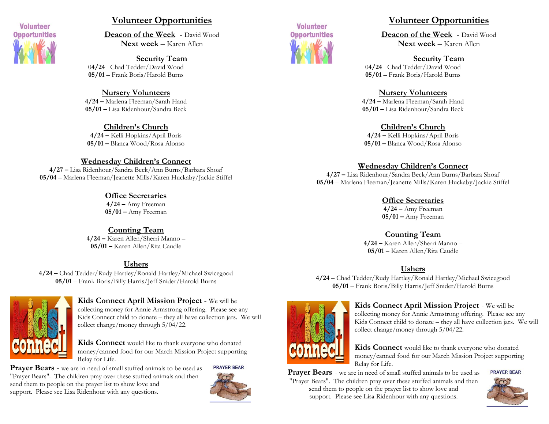

# **Volunteer Opportunities**

**Deacon of the Week -** David Wood **Next week** – Karen Allen

#### **Security Team** 0**4/24** Chad Tedder/David Wood **05/01** – Frank Boris/Harold Burns

# **Nursery Volunteers**

**4/24 –** Marlena Fleeman/Sarah Hand **05/01 –** Lisa Ridenhour/Sandra Beck

#### **Children's Church**

**4/24 –** Kelli Hopkins/April Boris **05/01 –** Blanca Wood/Rosa Alonso

#### **Wednesday Children's Connect**

**4/27 –** Lisa Ridenhour/Sandra Beck/Ann Burns/Barbara Shoaf **05/04** – Marlena Fleeman/Jeanette Mills/Karen Huckaby/Jackie Stiffel

# **Office Secretaries**

**4/24 –** Amy Freeman **05/01 –** Amy Freeman

# **Counting Team**

**4/24 –** Karen Allen/Sherri Manno – **05/01 –** Karen Allen/Rita Caudle

# **Ushers**

**4/24 –** Chad Tedder/Rudy Hartley/Ronald Hartley/Michael Swicegood **05/01** – Frank Boris/Billy Harris/Jeff Snider/Harold Burns



# **Kids Connect April Mission Project** - We will be

collecting money for Annie Armstrong offering. Please see any Kids Connect child to donate – they all have collection jars. We will collect change/money through 5/04/22.

**Kids Connect** would like to thank everyone who donated money/canned food for our March Mission Project supporting Relay for Life.

**Prayer Bears** - we are in need of small stuffed animals to be used as "Prayer Bears". The children pray over these stuffed animals and then send them to people on the prayer list to show love and support. Please see Lisa Ridenhour with any questions.





# **Volunteer Opportunities**

**Deacon of the Week -** David Wood **Next week** – Karen Allen

# **Security Team**

0**4/24** Chad Tedder/David Wood **05/01** – Frank Boris/Harold Burns

#### **Nursery Volunteers**

**4/24 –** Marlena Fleeman/Sarah Hand **05/01 –** Lisa Ridenhour/Sandra Beck

#### **Children's Church**

**4/24 –** Kelli Hopkins/April Boris **05/01 –** Blanca Wood/Rosa Alonso

# **Wednesday Children's Connect**

**4/27 –** Lisa Ridenhour/Sandra Beck/Ann Burns/Barbara Shoaf **05/04** – Marlena Fleeman/Jeanette Mills/Karen Huckaby/Jackie Stiffel

# **Office Secretaries**

**4/24 –** Amy Freeman **05/01 –** Amy Freeman

# **Counting Team**

**4/24 –** Karen Allen/Sherri Manno – **05/01 –** Karen Allen/Rita Caudle

# **Ushers**

**4/24 –** Chad Tedder/Rudy Hartley/Ronald Hartley/Michael Swicegood **05/01** – Frank Boris/Billy Harris/Jeff Snider/Harold Burns



**Kids Connect April Mission Project** - We will be collecting money for Annie Armstrong offering. Please see any Kids Connect child to donate – they all have collection jars. We will collect change/money through 5/04/22.

**Kids Connect** would like to thank everyone who donated money/canned food for our March Mission Project supporting Relay for Life.

**Prayer Bears** - we are in need of small stuffed animals to be used as "Prayer Bears". The children pray over these stuffed animals and then send them to people on the prayer list to show love and support. Please see Lisa Ridenhour with any questions.